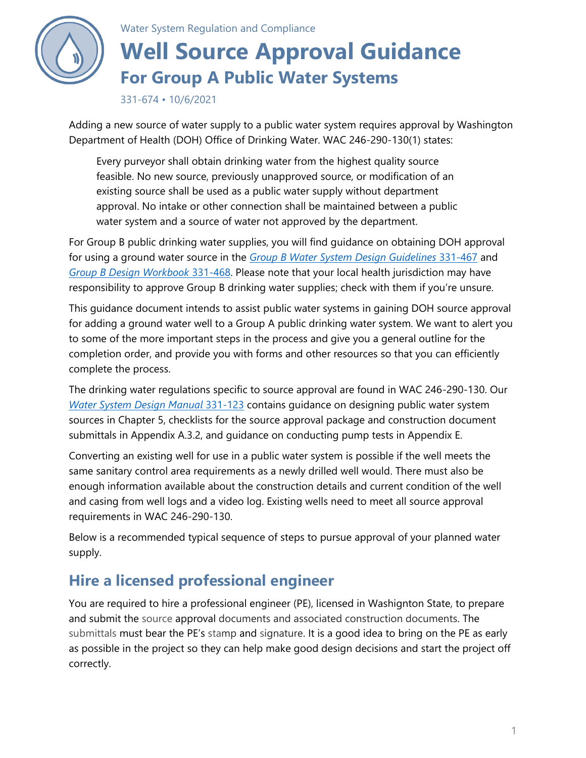

Water System Regulation and Compliance

# **Well Source Approval Guidance For Group A Public Water Systems**

331-674 • 10/6/2021

Adding a new source of water supply to a public water system requires approval by Washington Department of Health (DOH) Office of Drinking Water. WAC 246-290-130(1) states:

Every purveyor shall obtain drinking water from the highest quality source feasible. No new source, previously unapproved source, or modification of an existing source shall be used as a public water supply without department approval. No intake or other connection shall be maintained between a public water system and a source of water not approved by the department.

For Group B public drinking water supplies, you will find guidance on obtaining DOH approval for using a ground water source in the *[Group B Water System Design Guidelines](https://www.doh.wa.gov/Portals/1/Documents/Pubs/331-467.pdf)* 331-467 and *[Group B Design Workbook](https://www.doh.wa.gov/Portals/1/Documents/Pubs/331-468.docx)* 331-468. Please note that your local health jurisdiction may have responsibility to approve Group B drinking water supplies; check with them if you're unsure.

This guidance document intends to assist public water systems in gaining DOH source approval for adding a ground water well to a Group A public drinking water system. We want to alert you to some of the more important steps in the process and give you a general outline for the completion order, and provide you with forms and other resources so that you can efficiently complete the process.

The drinking water regulations specific to source approval are found in WAC 246-290-130. Our *[Water System Design Manual](https://www.doh.wa.gov/Portals/1/Documents/Pubs/331-123.pdf)* 331-123 contains guidance on designing public water system sources in Chapter 5, checklists for the source approval package and construction document submittals in Appendix A.3.2, and guidance on conducting pump tests in Appendix E.

Converting an existing well for use in a public water system is possible if the well meets the same sanitary control area requirements as a newly drilled well would. There must also be enough information available about the construction details and current condition of the well and casing from well logs and a video log. Existing wells need to meet all source approval requirements in WAC 246-290-130.

Below is a recommended typical sequence of steps to pursue approval of your planned water supply.

# **Hire a licensed professional engineer**

You are required to hire a professional engineer (PE), licensed in Washignton State, to prepare and submit the source approval documents and associated construction documents. The submittals must bear the PE's stamp and signature. It is a good idea to bring on the PE as early as possible in the project so they can help make good design decisions and start the project off correctly.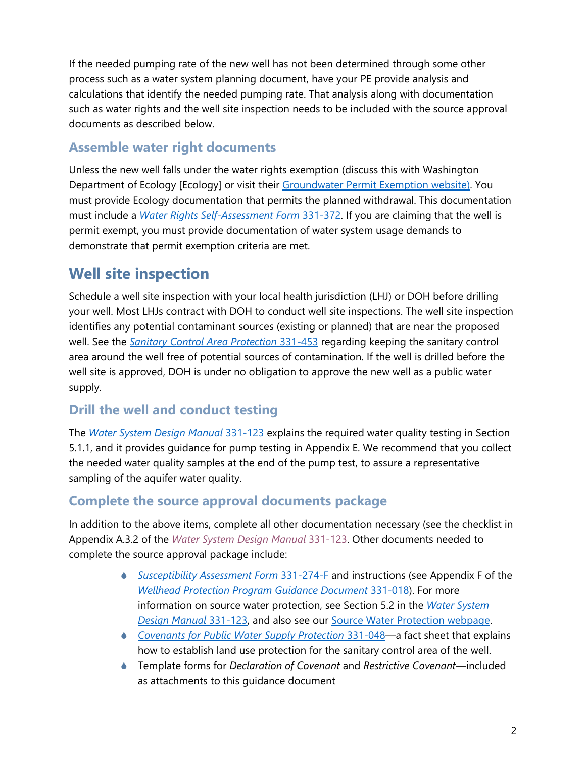If the needed pumping rate of the new well has not been determined through some other process such as a water system planning document, have your PE provide analysis and calculations that identify the needed pumping rate. That analysis along with documentation such as water rights and the well site inspection needs to be included with the source approval documents as described below.

#### **Assemble water right documents**

Unless the new well falls under the water rights exemption (discuss this with Washington Department of Ecology [Ecology] or visit their [Groundwater Permit Exemption website\)](https://ecology.wa.gov/Water-Shorelines/Water-supply/Water-rights/Groundwater-permit-exemption). You must provide Ecology documentation that permits the planned withdrawal. This documentation must include a *[Water Rights Self-Assessment Form](https://www.doh.wa.gov/Portals/1/Documents/Pubs/331-372-F.docx)* 331-372. If you are claiming that the well is permit exempt, you must provide documentation of water system usage demands to demonstrate that permit exemption criteria are met.

# **Well site inspection**

Schedule a well site inspection with your local health jurisdiction (LHJ) or DOH before drilling your well. Most LHJs contract with DOH to conduct well site inspections. The well site inspection identifies any potential contaminant sources (existing or planned) that are near the proposed well. See the *[Sanitary Control Area Protection](https://www.doh.wa.gov/portals/1/Documents/pubs/331-453.pdf)* 331-453 regarding keeping the sanitary control area around the well free of potential sources of contamination. If the well is drilled before the well site is approved, DOH is under no obligation to approve the new well as a public water supply.

### **Drill the well and conduct testing**

The *[Water System Design Manual](https://www.doh.wa.gov/Portals/1/Documents/Pubs/331-123.pdf)* 331-123 explains the required water quality testing in Section 5.1.1, and it provides guidance for pump testing in Appendix E. We recommend that you collect the needed water quality samples at the end of the pump test, to assure a representative sampling of the aquifer water quality.

### **Complete the source approval documents package**

In addition to the above items, complete all other documentation necessary (see the checklist in Appendix A.3.2 of the *[Water System Design Manual](https://www.doh.wa.gov/Portals/1/Documents/Pubs/331-123.pdf)* 331-123. Other documents needed to complete the source approval package include:

- *[Susceptibility Assessment Form](https://www.doh.wa.gov/Portals/1/Documents/4200/331-274-F.doc)* 331-274-F and instructions (see Appendix F of the *[Wellhead Protection Program Guidance Document](https://www.doh.wa.gov/Portals/1/Documents/Pubs/331-018.pdf)* 331-018). For more information on source water protection, see Section 5.2 in the *[Water System](https://www.doh.wa.gov/Portals/1/Documents/Pubs/331-123.pdf)  [Design Manual](https://www.doh.wa.gov/Portals/1/Documents/Pubs/331-123.pdf)* 331-123, and also see our [Source Water Protection webpage.](https://www.doh.wa.gov/CommunityandEnvironment/DrinkingWater/SourceWater/SourceWaterProtection)
- *[Covenants for Public Water Supply Protection](http://www.doh.wa.gov/portals/1/Documents/pubs/331-048.pdf)* 331-048—a fact sheet that explains how to establish land use protection for the sanitary control area of the well.
- Template forms for *Declaration of Covenant* and *Restrictive Covenant*—included as attachments to this guidance document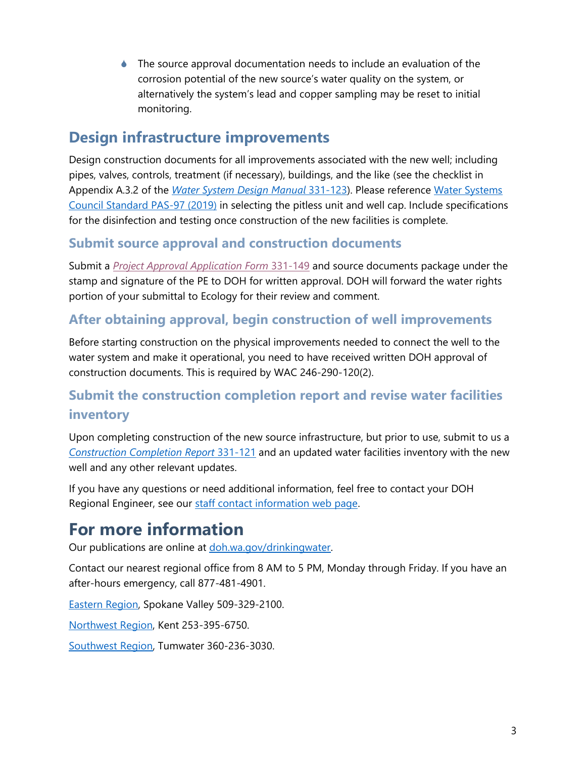The source approval documentation needs to include an evaluation of the corrosion potential of the new source's water quality on the system, or alternatively the system's lead and copper sampling may be reset to initial monitoring.

## **Design infrastructure improvements**

Design construction documents for all improvements associated with the new well; including pipes, valves, controls, treatment (if necessary), buildings, and the like (see the checklist in Appendix A.3.2 of the *[Water System Design Manual](https://www.doh.wa.gov/Portals/1/Documents/Pubs/331-123.pdf)* 331-123). Please reference [Water Systems](https://www.watersystemscouncil.org/resources/well-standards/pas-97/)  [Council Standard PAS-97 \(2019\)](https://www.watersystemscouncil.org/resources/well-standards/pas-97/) in selecting the pitless unit and well cap. Include specifications for the disinfection and testing once construction of the new facilities is complete.

#### **Submit source approval and construction documents**

Submit a *[Project Approval Application Form](https://www.doh.wa.gov/Portals/1/Documents/Pubs/331-149.docx)* 331-149 and source documents package under the stamp and signature of the PE to DOH for written approval. DOH will forward the water rights portion of your submittal to Ecology for their review and comment.

### **After obtaining approval, begin construction of well improvements**

Before starting construction on the physical improvements needed to connect the well to the water system and make it operational, you need to have received written DOH approval of construction documents. This is required by WAC 246-290-120(2).

### **Submit the construction completion report and revise water facilities inventory**

Upon completing construction of the new source infrastructure, but prior to use, submit to us a *[Construction Completion Report](https://www.doh.wa.gov/Portals/1/Documents/Pubs/331-121-F.pdf)* 331-121 and an updated water facilities inventory with the new well and any other relevant updates.

If you have any questions or need additional information, feel free to contact your DOH Regional Engineer, see our [staff contact information web page.](https://www.doh.wa.gov/CommunityandEnvironment/DrinkingWater/OfficesandStaff/EasternRegionalOfficeStaff)

# **For more information**

Our publications are online at [doh.wa.gov/drinkingwater.](http://www.doh.wa.gov/drinkingwater)

Contact our nearest regional office from 8 AM to 5 PM, Monday through Friday. If you have an after-hours emergency, call 877-481-4901.

[Eastern Region,](https://www.doh.wa.gov/CommunityandEnvironment/DrinkingWater/OfficesandStaff/EasternRegionalOfficeStaff) Spokane Valley 509-329-2100.

[Northwest Region,](https://www.doh.wa.gov/CommunityandEnvironment/DrinkingWater/OfficesandStaff/NorthwestRegionalOfficeStaff) Kent 253-395-6750.

[Southwest Region,](https://www.doh.wa.gov/CommunityandEnvironment/DrinkingWater/OfficesandStaff/SouthwestRegionalOfficeStaff) Tumwater 360-236-3030.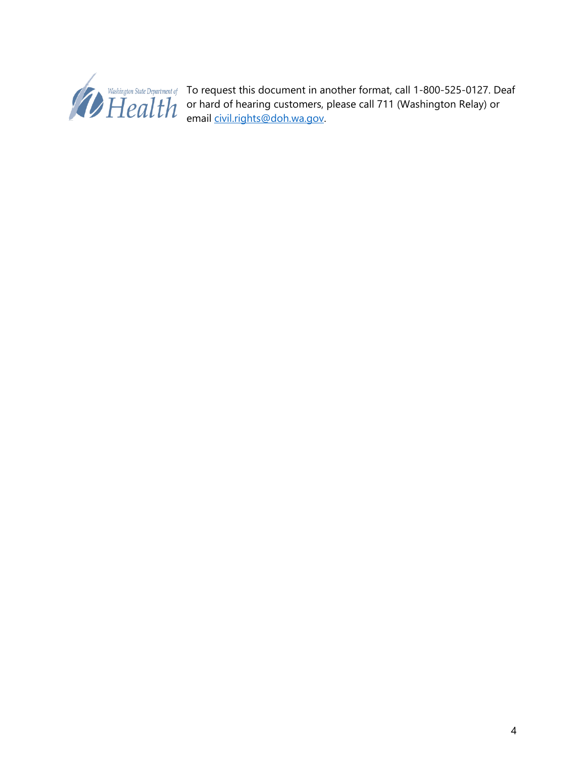

To request this document in another format, call 1-800-525-0127. Deaf or hard of hearing customers, please call 711 (Washington Relay) or email [civil.rights@doh.wa.gov.](mailto:civil.rights@doh.wa.gov)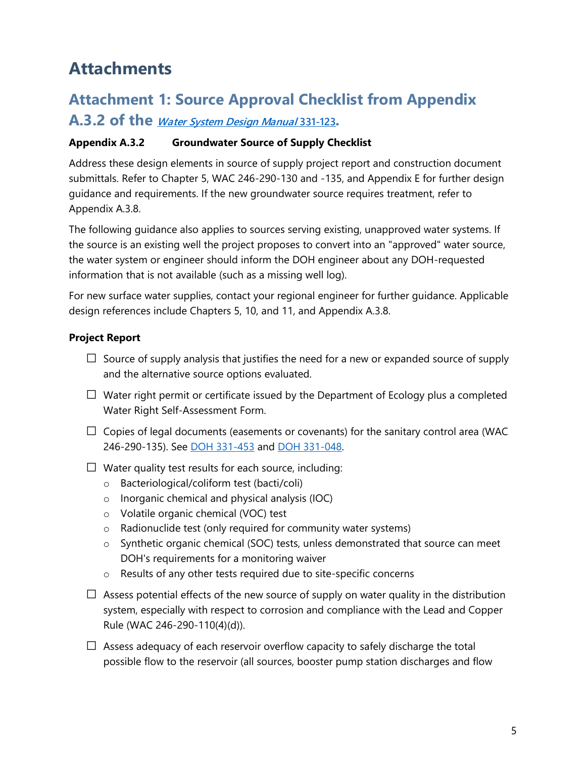# **Attachments**

# **Attachment 1: Source Approval Checklist from Appendix**

**A.3.2 of the** *[Water System Design Manual](https://www.doh.wa.gov/Portals/1/Documents/Pubs/331-123.pdf) 331-123.*

#### **Appendix A.3.2 Groundwater Source of Supply Checklist**

Address these design elements in source of supply project report and construction document submittals. Refer to Chapter 5, WAC 246-290-130 and -135, and Appendix E for further design guidance and requirements. If the new groundwater source requires treatment, refer to Appendix A.3.8.

The following guidance also applies to sources serving existing, unapproved water systems. If the source is an existing well the project proposes to convert into an "approved" water source, the water system or engineer should inform the DOH engineer about any DOH-requested information that is not available (such as a missing well log).

For new surface water supplies, contact your regional engineer for further guidance. Applicable design references include Chapters 5, 10, and 11, and Appendix A.3.8.

#### **Project Report**

- $\Box$  Source of supply analysis that justifies the need for a new or expanded source of supply and the alternative source options evaluated.
- $\square$  Water right permit or certificate issued by the Department of Ecology plus a completed Water Right Self-Assessment Form.
- $\Box$  Copies of legal documents (easements or covenants) for the sanitary control area (WAC 246-290-135). See [DOH 331-453](https://www.doh.wa.gov/portals/1/Documents/pubs/331-453.pdf) and [DOH 331-048.](https://www.doh.wa.gov/Portals/1/Documents/Pubs/331-048.pdf)
- $\Box$  Water quality test results for each source, including:
	- o Bacteriological/coliform test (bacti/coli)
	- o Inorganic chemical and physical analysis (IOC)
	- o Volatile organic chemical (VOC) test
	- o Radionuclide test (only required for community water systems)
	- o Synthetic organic chemical (SOC) tests, unless demonstrated that source can meet DOH's requirements for a monitoring waiver
	- o Results of any other tests required due to site-specific concerns
- $\square$  Assess potential effects of the new source of supply on water quality in the distribution system, especially with respect to corrosion and compliance with the Lead and Copper Rule (WAC 246-290-110(4)(d)).
- $\Box$  Assess adequacy of each reservoir overflow capacity to safely discharge the total possible flow to the reservoir (all sources, booster pump station discharges and flow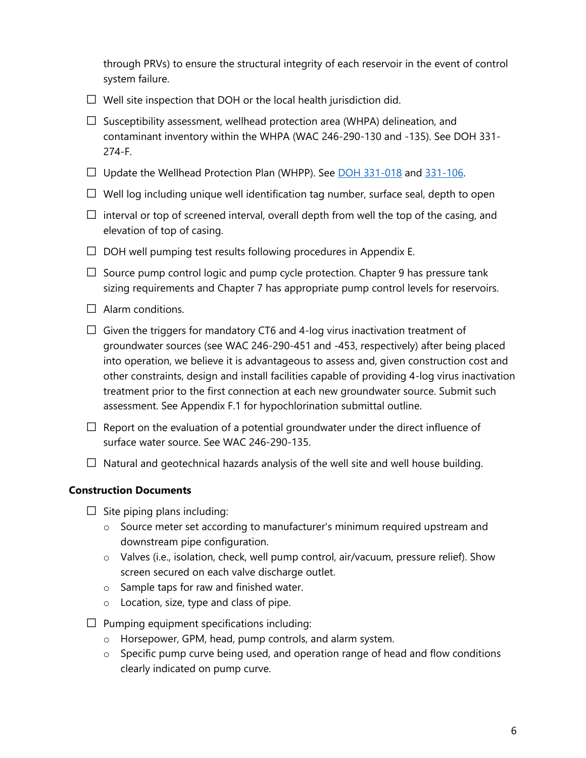through PRVs) to ensure the structural integrity of each reservoir in the event of control system failure.

- $\Box$  Well site inspection that DOH or the local health jurisdiction did.
- $\square$  Susceptibility assessment, wellhead protection area (WHPA) delineation, and contaminant inventory within the WHPA (WAC 246-290-130 and -135). See DOH 331- 274-F.
- $\square$  Update the Wellhead Protection Plan (WHPP). See  $\overline{DOH}$  331-018 and [331-106.](https://www.doh.wa.gov/Portals/1/Documents/Pubs/331-106.pdf)
- $\Box$  Well log including unique well identification tag number, surface seal, depth to open
- $\square$  interval or top of screened interval, overall depth from well the top of the casing, and elevation of top of casing.
- $\Box$  DOH well pumping test results following procedures in Appendix E.
- $\Box$  Source pump control logic and pump cycle protection. Chapter 9 has pressure tank sizing requirements and Chapter 7 has appropriate pump control levels for reservoirs.
- $\Box$  Alarm conditions.
- $\Box$  Given the triggers for mandatory CT6 and 4-log virus inactivation treatment of groundwater sources (see WAC 246-290-451 and -453, respectively) after being placed into operation, we believe it is advantageous to assess and, given construction cost and other constraints, design and install facilities capable of providing 4-log virus inactivation treatment prior to the first connection at each new groundwater source. Submit such assessment. See Appendix F.1 for hypochlorination submittal outline.
- $\Box$  Report on the evaluation of a potential groundwater under the direct influence of surface water source. See WAC 246-290-135.
- $\Box$  Natural and geotechnical hazards analysis of the well site and well house building.

#### **Construction Documents**

- $\Box$  Site piping plans including:
	- o Source meter set according to manufacturer's minimum required upstream and downstream pipe configuration.
	- o Valves (i.e., isolation, check, well pump control, air/vacuum, pressure relief). Show screen secured on each valve discharge outlet.
	- o Sample taps for raw and finished water.
	- o Location, size, type and class of pipe.
- $\Box$  Pumping equipment specifications including:
	- o Horsepower, GPM, head, pump controls, and alarm system.
	- $\circ$  Specific pump curve being used, and operation range of head and flow conditions clearly indicated on pump curve.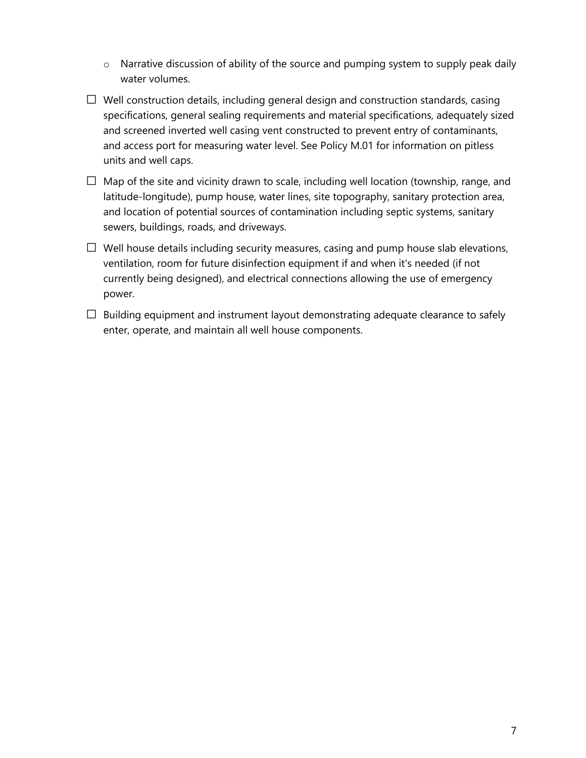- o Narrative discussion of ability of the source and pumping system to supply peak daily water volumes.
- $\Box$  Well construction details, including general design and construction standards, casing specifications, general sealing requirements and material specifications, adequately sized and screened inverted well casing vent constructed to prevent entry of contaminants, and access port for measuring water level. See Policy M.01 for information on pitless units and well caps.
- $\Box$  Map of the site and vicinity drawn to scale, including well location (township, range, and latitude-longitude), pump house, water lines, site topography, sanitary protection area, and location of potential sources of contamination including septic systems, sanitary sewers, buildings, roads, and driveways.
- $\Box$  Well house details including security measures, casing and pump house slab elevations, ventilation, room for future disinfection equipment if and when it's needed (if not currently being designed), and electrical connections allowing the use of emergency power.
- $\Box$  Building equipment and instrument layout demonstrating adequate clearance to safely enter, operate, and maintain all well house components.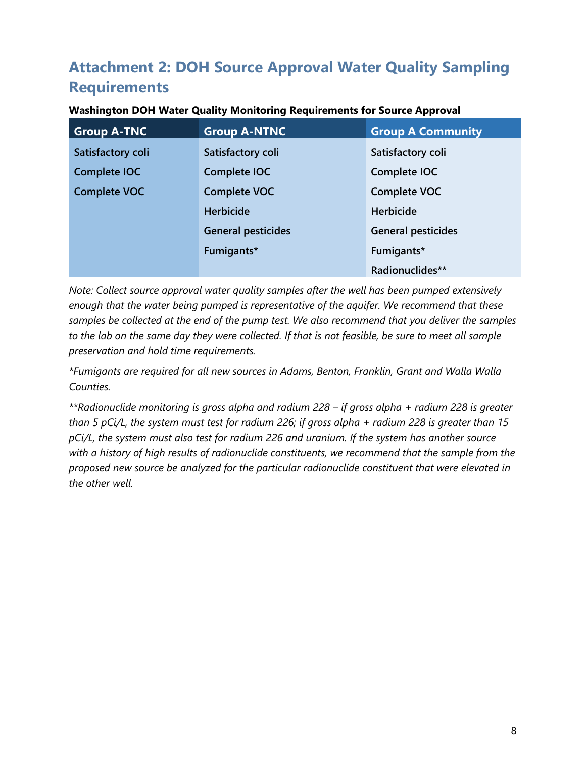# **Attachment 2: DOH Source Approval Water Quality Sampling Requirements**

| <b>Group A-TNC</b>  | <b>Group A-NTNC</b>       | <b>Group A Community</b>  |  |
|---------------------|---------------------------|---------------------------|--|
| Satisfactory coli   | Satisfactory coli         | Satisfactory coli         |  |
| <b>Complete IOC</b> | Complete IOC              | Complete IOC              |  |
| <b>Complete VOC</b> | <b>Complete VOC</b>       | Complete VOC              |  |
|                     | <b>Herbicide</b>          | <b>Herbicide</b>          |  |
|                     | <b>General pesticides</b> | <b>General pesticides</b> |  |
|                     | Fumigants*                | Fumigants*                |  |
|                     |                           | Radionuclides**           |  |

#### **Washington DOH Water Quality Monitoring Requirements for Source Approval**

*Note: Collect source approval water quality samples after the well has been pumped extensively enough that the water being pumped is representative of the aquifer. We recommend that these samples be collected at the end of the pump test. We also recommend that you deliver the samples to the lab on the same day they were collected. If that is not feasible, be sure to meet all sample preservation and hold time requirements.*

*\*Fumigants are required for all new sources in Adams, Benton, Franklin, Grant and Walla Walla Counties.*

*\*\*Radionuclide monitoring is gross alpha and radium 228 – if gross alpha + radium 228 is greater than 5 pCi/L, the system must test for radium 226; if gross alpha + radium 228 is greater than 15 pCi/L, the system must also test for radium 226 and uranium. If the system has another source with a history of high results of radionuclide constituents, we recommend that the sample from the proposed new source be analyzed for the particular radionuclide constituent that were elevated in the other well.*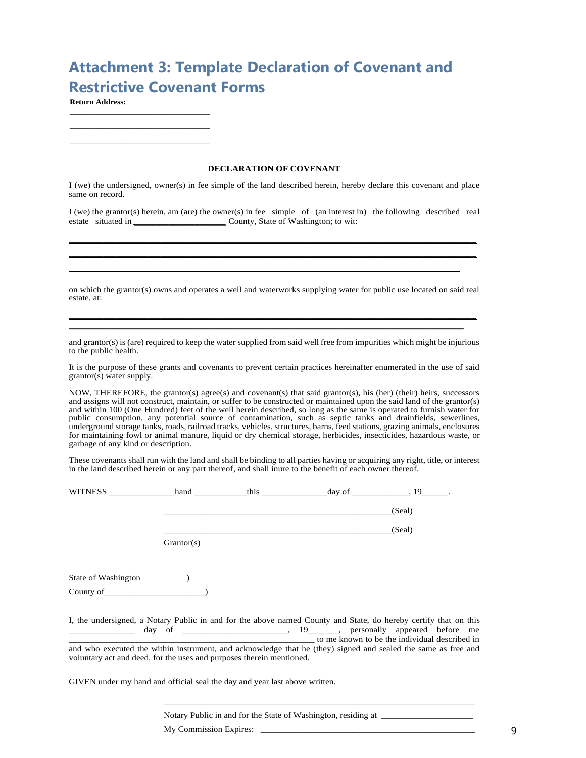# **Attachment 3: Template Declaration of Covenant and Restrictive Covenant Forms**

**Return Address:**

**DECLARATION OF COVENANT**  $\mathcal{L}_\text{max}$  and the contract of the contract of the contract of the contract of the contract of the contract of the contract of the contract of the contract of the contract of the contract of the contract of the contrac

I (we) the undersigned, owner(s) in fee simple of the land described herein, hereby declare this covenant and place same on record.

I (we) the grantor(s) herein, am (are) the owner(s) in fee simple of (an interest in) the following described real estate situated in *\_\_\_\_\_\_\_\_\_\_\_\_\_\_\_\_\_\_\_\_\_* County, State of Washington; to wit:

on which the grantor(s) owns and operates a well and waterworks supplying water for public use located on said real estate, at:

and grantor(s) is (are) required to keep the water supplied from said well free from impurities which might be injurious to the public health.

It is the purpose of these grants and covenants to prevent certain practices hereinafter enumerated in the use of said grantor(s) water supply.

NOW, THEREFORE, the grantor(s) agree(s) and covenant(s) that said grantor(s), his (her) (their) heirs, successors and assigns will not construct, maintain, or suffer to be constructed or maintained upon the said land of the grantor(s) and within 100 (One Hundred) feet of the well herein described, so long as the same is operated to furnish water for public consumption, any potential source of contamination, such as septic tanks and drainfields, sewerlines, underground storage tanks, roads, railroad tracks, vehicles, structures, barns, feed stations, grazing animals, enclosures for maintaining fowl or animal manure, liquid or dry chemical storage, herbicides, insecticides, hazardous waste, or garbage of any kind or description.

These covenants shall run with the land and shall be binding to all parties having or acquiring any right, title, or interest in the land described herein or any part thereof, and shall inure to the benefit of each owner thereof.

|                                                                      |            |  | (Seal)                                                                                                                                                                                                                                                                            |
|----------------------------------------------------------------------|------------|--|-----------------------------------------------------------------------------------------------------------------------------------------------------------------------------------------------------------------------------------------------------------------------------------|
|                                                                      |            |  | (Seal)                                                                                                                                                                                                                                                                            |
|                                                                      | Grantor(s) |  |                                                                                                                                                                                                                                                                                   |
|                                                                      |            |  |                                                                                                                                                                                                                                                                                   |
| State of Washington (b)                                              |            |  |                                                                                                                                                                                                                                                                                   |
| $County of \_$                                                       |            |  |                                                                                                                                                                                                                                                                                   |
|                                                                      |            |  | I, the undersigned, a Notary Public in and for the above named County and State, do hereby certify that on this<br>to me known to be the individual described in<br>and who executed the within instrument, and acknowledge that he (they) signed and sealed the same as free and |
| voluntary act and deed, for the uses and purposes therein mentioned. |            |  |                                                                                                                                                                                                                                                                                   |

GIVEN under my hand and official seal the day and year last above written.

Notary Public in and for the State of Washington, residing at

My Commission Expires: